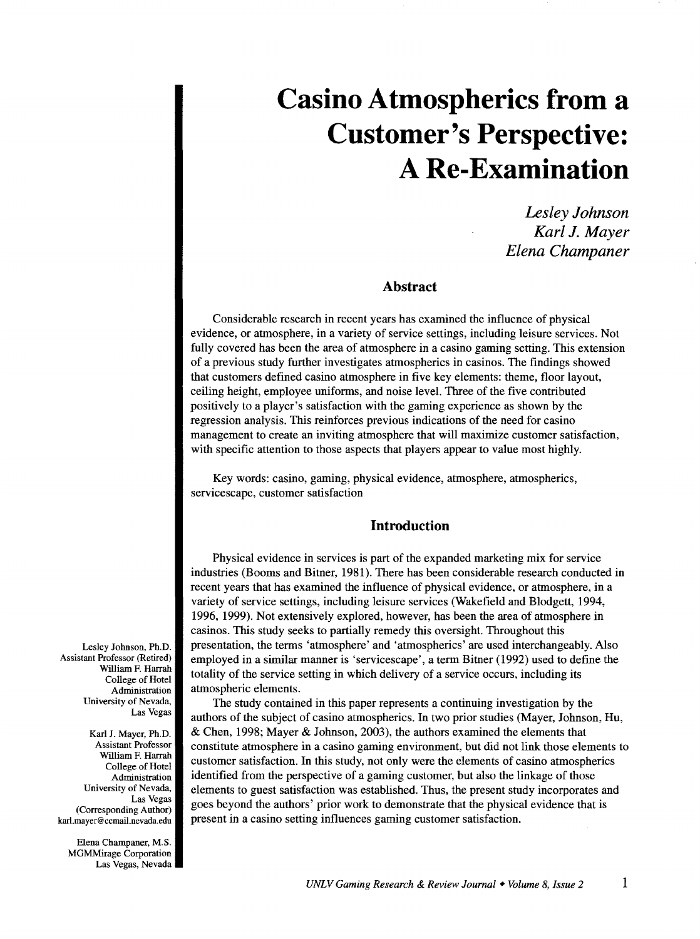# **Casino Atmospherics from a Customer's Perspective: A Re-Examination**

*Lesley Johnson Karl J. Mayer Elena Champaner* 

# **Abstract**

Considerable research in recent years has examined the influence of physical evidence, or atmosphere, in a variety of service settings, including leisure services. Not fully covered has been the area of atmosphere in a casino gaming setting. This extension of a previous study further investigates atmospherics in casinos. The findings showed that customers defined casino atmosphere in five key elements: theme, floor layout, ceiling height, employee uniforms, and noise level. Three of the five contributed positively to a player's satisfaction with the gaming experience as shown by the regression analysis. This reinforces previous indications of the need for casino management to create an inviting atmosphere that will maximize customer satisfaction, with specific attention to those aspects that players appear to value most highly.

Key words: casino, gaming, physical evidence, atmosphere, atmospherics, servicescape, customer satisfaction

#### **Introduction**

Physical evidence in services is part of the expanded marketing mix for service industries (Booms and Bitner, 1981). There has been considerable research conducted in recent years that has examined the influence of physical evidence, or atmosphere, in a variety of service settings, including leisure services (Wakefield and Blodgett, 1994, 1996, 1999). Not extensively explored, however, has been the area of atmosphere in casinos. This study seeks to partially remedy this oversight. Throughout this presentation, the terms 'atmosphere' and 'atmospherics' are used interchangeably. Also employed in a similar manner is 'servicescape', a term Bitner (1992) used to define the totality of the service setting in which delivery of a service occurs, including its atmospheric elements.

The study contained in this paper represents a continuing investigation by the authors of the subject of casino atmospherics. In two prior studies (Mayer, Johnson, Hu, & Chen, 1998; Mayer & Johnson, 2003), the authors examined the elements that constitute atmosphere in a casino gaming environment, but did not link those elements to customer satisfaction. In this study, not only were the elements of casino atmospherics identified from the perspective of a gaming customer, but also the linkage of those elements to guest satisfaction was established. Thus, the present study incorporates and goes beyond the authors' prior work to demonstrate that the physical evidence that is present in a casino setting influences gaming customer satisfaction.

Lesley Johnson, Ph.D. Assistant Professor (Retired) William F. Harrah College of Hotel Administration University of Nevada, Las Vegas

Karl J. Mayer, Ph.D. Assistant Professor William F. Harrah College of Hotel Administration University of Nevada, Las Vegas (Corresponding Author) karl.mayer@ccmail.nevada.edu

Elena Champaner, M.S. MGMMirage Corporation Las Vegas, Nevada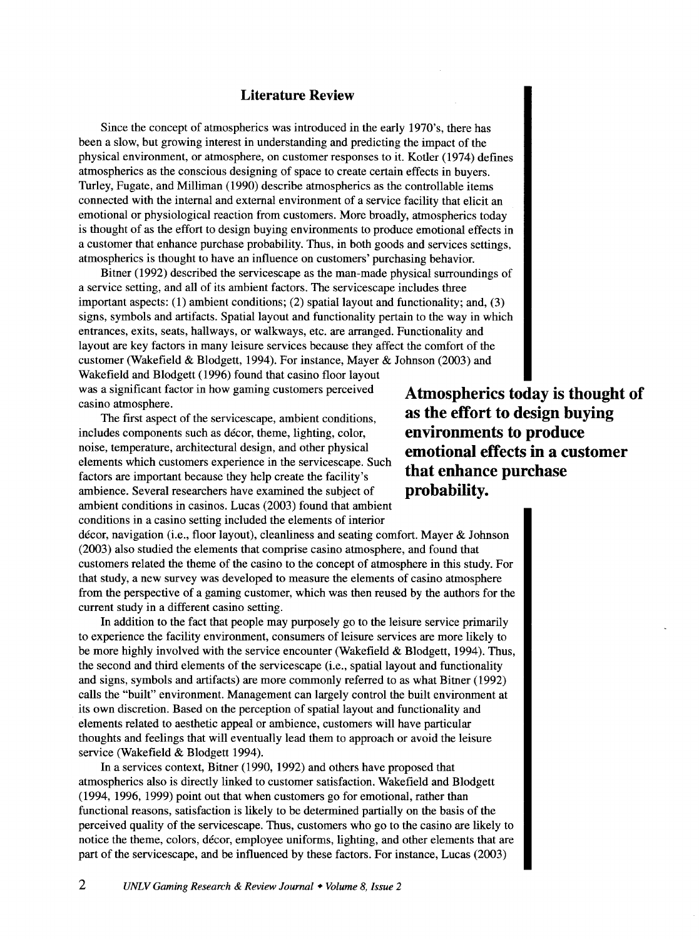# **Literature Review**

Since the concept of atmospherics was introduced in the early 1970's, there has been a slow, but growing interest in understanding and predicting the impact of the physical environment, or atmosphere, on customer responses to it. Kotler (1974) defines atmospherics as the conscious designing of space to create certain effects in buyers. Turley, Fugate, and Milliman (1990) describe atmospherics as the controllable items connected with the internal and external environment of a service facility that elicit an emotional or physiological reaction from customers. More broadly, atmospherics today is thought of as the effort to design buying environments to produce emotional effects in a customer that enhance purchase probability. Thus, in both goods and services settings, atmospherics is thought to have an influence on customers' purchasing behavior.

Bitner (1992) described the servicescape as the man-made physical surroundings of a service setting, and all of its ambient factors. The servicescape includes three important aspects: (1) ambient conditions; (2) spatial layout and functionality; and, (3) signs, symbols and artifacts. Spatial layout and functionality pertain to the way in which entrances, exits, seats, hallways, or walkways, etc. are arranged. Functionality and layout are key factors in many leisure services because they affect the comfort of the customer (Wakefield & Blodgett, 1994). For instance, Mayer & Johnson (2003) and

Wakefield and Blodgett (1996) found that casino floor layout was a significant factor in how gaming customers perceived casino atmosphere.

The first aspect of the servicescape, ambient conditions, includes components such as decor, theme, lighting, color, noise, temperature, architectural design, and other physical elements which customers experience in the servicescape. Such factors are important because they help create the facility's ambience. Several researchers have examined the subject of ambient conditions in casinos. Lucas (2003) found that ambient conditions in a casino setting included the elements of interior

decor, navigation (i.e., floor layout), cleanliness and seating comfort. Mayer & Johnson (2003) also studied the elements that comprise casino atmosphere, and found that customers related the theme of the casino to the concept of atmosphere in this study. For that study, a new survey was developed to measure the elements of casino atmosphere from the perspective of a gaming customer, which was then reused by the authors for the current study in a different casino setting.

In addition to the fact that people may purposely go to the leisure service primarily to experience the facility environment, consumers of leisure services are more likely to be more highly involved with the service encounter (Wakefield & Blodgett, 1994). Thus, the second and third elements of the servicescape (i.e., spatial layout and functionality and signs, symbols and artifacts) are more commonly referred to as what Bitner (1992) calls the "built" environment. Management can largely control the built environment at its own discretion. Based on the perception of spatial layout and functionality and elements related to aesthetic appeal or ambience, customers will have particular thoughts and feelings that will eventually lead them to approach or avoid the leisure service (Wakefield & Blodgett 1994).

In a services context, Bitner (1990, 1992) and others have proposed that atmospherics also is directly linked to customer satisfaction. Wakefield and Blodgett (1994, 1996, 1999) point out that when customers go for emotional, rather than functional reasons, satisfaction is likely to be determined partially on the basis of the perceived quality of the servicescape. Thus, customers who go to the casino are likely to notice the theme, colors, decor, employee uniforms, lighting, and other elements that are part of the servicescape, and be influenced by these factors. For instance, Lucas (2003)

**Atmospherics today is thought of as the effort to design buying environments to produce emotional effects in a customer that enhance purchase probability.**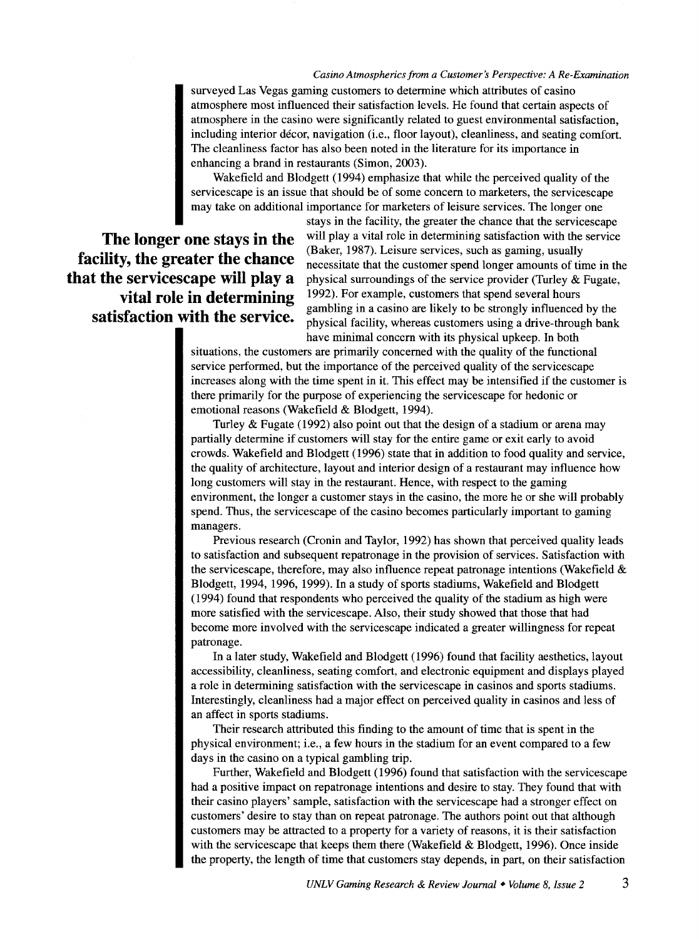#### *Casino Atmospherics from a Customer's Perspective: A Re-Examination*

surveyed Las Vegas gaming customers to determine which attributes of casino atmosphere most influenced their satisfaction levels. He found that certain aspects of atmosphere in the casino were significantly related to guest environmental satisfaction, including interior decor, navigation (i.e., floor layout), cleanliness, and seating comfort. The cleanliness factor has also been noted in the literature for its importance in enhancing a brand in restaurants (Simon, 2003).

Wakefield and Blodgett (1994) emphasize that while the perceived quality of the servicescape is an issue that should be of some concern to marketers, the servicescape may take on additional importance for marketers of leisure services. The longer one

**The longer one stays in the facility, the greater the chance that the servicescape will play a vital role in determining satisfaction with the service.** 

stays in the facility, the greater the chance that the servicescape will play a vital role in determining satisfaction with the service (Baker, 1987). Leisure services, such as gaming, usually necessitate that the customer spend longer amounts of time in the physical surroundings of the service provider (Turley & Fugate, 1992). For example, customers that spend several hours gambling in a casino are likely to be strongly influenced by the physical facility, whereas customers using a drive-through bank have minimal concern with its physical upkeep. In both

situations, the customers are primarily concerned with the quality of the functional service performed, but the importance of the perceived quality of the servicescape increases along with the time spent in it. This effect may be intensified if the customer is there primarily for the purpose of experiencing the servicescape for hedonic or emotional reasons (Wakefield & Blodgett, 1994).

Turley & Fugate (1992) also point out that the design of a stadium or arena may partially determine if customers will stay for the entire game or exit early to avoid crowds. Wakefield and Blodgett (1996) state that in addition to food quality and service, the quality of architecture, layout and interior design of a restaurant may influence how long customers will stay in the restaurant. Hence, with respect to the gaming environment, the longer a customer stays in the casino, the more he or she will probably spend. Thus, the servicescape of the casino becomes particularly important to gaming managers.

Previous research (Cronin and Taylor, 1992) has shown that perceived quality leads to satisfaction and subsequent repatronage in the provision of services. Satisfaction with the servicescape, therefore, may also influence repeat patronage intentions (Wakefield  $\&$ Blodgett, 1994, 1996, 1999). In a study of sports stadiums, Wakefield and Blodgett (1994) found that respondents who perceived the quality of the stadium as high were more satisfied with the servicescape. Also, their study showed that those that had become more involved with the servicescape indicated a greater willingness for repeat patronage.

In a later study, Wakefield and Blodgett (1996) found that facility aesthetics, layout accessibility, cleanliness, seating comfort, and electronic equipment and displays played a role in determining satisfaction with the servicescape in casinos and sports stadiums. Interestingly, cleanliness had a major effect on perceived quality in casinos and less of an affect in sports stadiums.

Their research attributed this finding to the amount of time that is spent in the physical environment; i.e., a few hours in the stadium for an event compared to a few days in the casino on a typical gambling trip.

Further, Wakefield and Blodgett (1996) found that satisfaction with the servicescape had a positive impact on repatronage intentions and desire to stay. They found that with their casino players' sample, satisfaction with the servicescape had a stronger effect on customers' desire to stay than on repeat patronage. The authors point out that although customers may be attracted to a property for a variety of reasons, it is their satisfaction with the servicescape that keeps them there (Wakefield  $& \text{Blodgett}, 1996$ ). Once inside the property, the length of time that customers stay depends, in part, on their satisfaction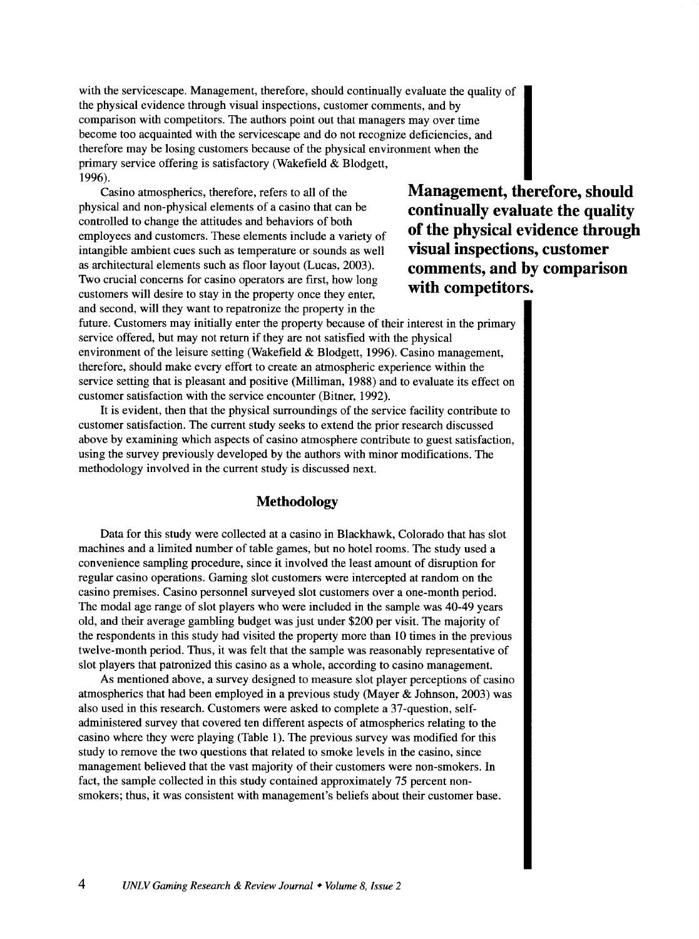with the servicescape. Management, therefore, should continually evaluate the quality of the physical evidence through visual inspections, customer comments, and by comparison with competitors. The authors point out that managers may over time become too acquainted with the servicescape and do not recognize deficiencies, and therefore may be losing customers because of the physical environment when the primary service offering is satisfactory (Wakefield & Blodgett, 1996).

Casino atmospherics, therefore, refers to all of the physical and non-physical elements of a casino that can be controlled to change the attitudes and behaviors of both employees and customers. These elements include a variety of intangible ambient cues such as temperature or sounds as well as architectural elements such as floor layout (Lucas, 2003). Two crucial concerns for casino operators are first, how long customers will desire to stay in the property once they enter, and second, will they want to repatronize the property in the

**Management, therefore, should continually evaluate the quality of the physical evidence through visual inspections, customer comments, and by comparison with competitors.** 

future. Customers may initially enter the property because of their interest in the primary service offered, but may not return if they are not satisfied with the physical environment of the leisure setting (Wakefield & Blodgett, 1996). Casino management, therefore, should make every effort to create an atmospheric experience within the service setting that is pleasant and positive (Milliman, 1988) and to evaluate its effect on customer satisfaction with the service encounter (Bitner, 1992).

It is evident, then that the physical surroundings of the service facility contribute to customer satisfaction. The current study seeks to extend the prior research discussed above by examining which aspects of casino atmosphere contribute to guest satisfaction, using the survey previously developed by the authors with minor modifications. The methodology involved in the current study is discussed next.

# **Methodology**

Data for this study were collected at a casino in Blackhawk, Colorado that has slot machines and a limited number of table games, but no hotel rooms. The study used a convenience sampling procedure, since it involved the least amount of disruption for regular casino operations. Gaming slot customers were intercepted at random on the casino premises. Casino personnel surveyed slot customers over a one-month period. The modal age range of slot players who were included in the sample was 40-49 years old, and their average gambling budget was just under \$200 per visit. The majority of the respondents in this study had visited the property more than 10 times in the previous twelve-month period. Thus, it was felt that the sample was reasonably representative of slot players that patronized this casino as a whole, according to casino management.

As mentioned above, a survey designed to measure slot player perceptions of casino atmospherics that had been employed in a previous study (Mayer & Johnson, 2003) was also used in this research. Customers were asked to complete a 37-question, selfadministered survey that covered ten different aspects of atmospherics relating to the casino where they were playing (Table 1). The previous survey was modified for this study to remove the two questions that related to smoke levels in the casino, since management believed that the vast majority of their customers were non-smokers. In fact, the sample collected in this study contained approximately 75 percent nonsmokers; thus, it was consistent with management's beliefs about their customer base.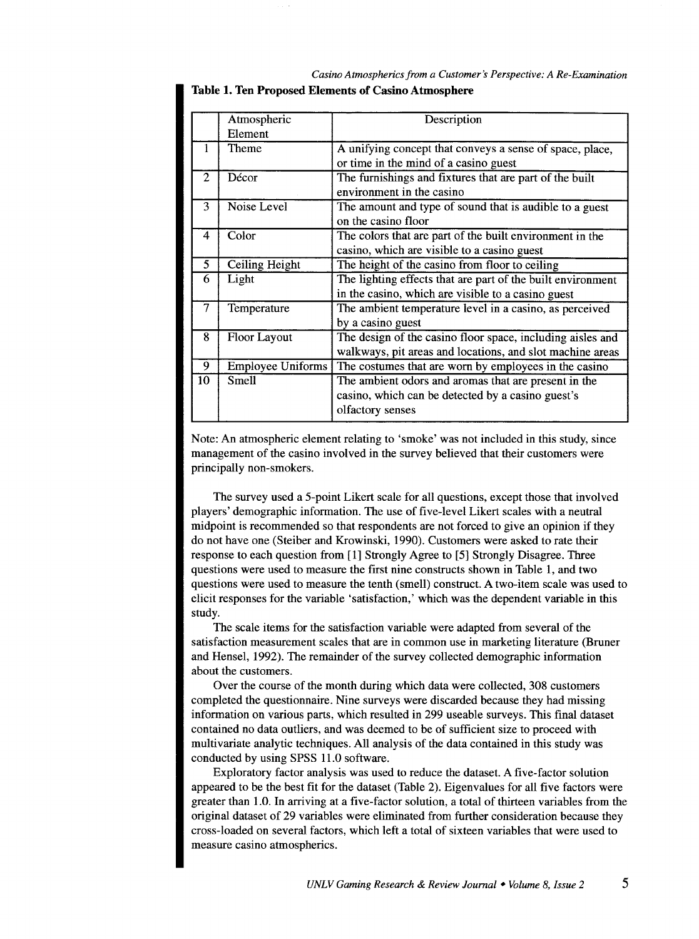*Casino Atmospherics from a Customer's Perspective: A Re-Examination* 

|    | Atmospheric              | Description                                                 |  |
|----|--------------------------|-------------------------------------------------------------|--|
|    | Element                  |                                                             |  |
|    | Theme                    | A unifying concept that conveys a sense of space, place,    |  |
|    |                          | or time in the mind of a casino guest                       |  |
| 2  | Décor                    | The furnishings and fixtures that are part of the built     |  |
|    |                          | environment in the casino                                   |  |
| 3  | Noise Level              | The amount and type of sound that is audible to a guest     |  |
|    |                          | on the casino floor                                         |  |
| 4  | Color                    | The colors that are part of the built environment in the    |  |
|    |                          | casino, which are visible to a casino guest                 |  |
| 5  | Ceiling Height           | The height of the casino from floor to ceiling              |  |
| 6  | Light                    | The lighting effects that are part of the built environment |  |
|    |                          | in the casino, which are visible to a casino guest          |  |
| 7  | Temperature              | The ambient temperature level in a casino, as perceived     |  |
|    |                          | by a casino guest                                           |  |
| 8  | <b>Floor Layout</b>      | The design of the casino floor space, including aisles and  |  |
|    |                          | walkways, pit areas and locations, and slot machine areas   |  |
| 9  | <b>Employee Uniforms</b> | The costumes that are worn by employees in the casino       |  |
| 10 | Smell                    | The ambient odors and aromas that are present in the        |  |
|    |                          | casino, which can be detected by a casino guest's           |  |
|    |                          | olfactory senses                                            |  |

Table 1. Ten Proposed Elements of Casino Atmosphere

Note: An atmospheric element relating to 'smoke' was not included in this study, since management of the casino involved in the survey believed that their customers were principally non-smokers.

The survey used a 5-point Likert scale for all questions, except those that involved players' demographic information. The use of five-level Likert scales with a neutral midpoint is recommended so that respondents are not forced to give an opinion if they do not have one (Steiber and Krowinski, 1990). Customers were asked to rate their response to each question from [1] Strongly Agree to [5] Strongly Disagree. Three questions were used to measure the first nine constructs shown in Table 1, and two questions were used to measure the tenth (smell) construct. A two-item scale was used to elicit responses for the variable 'satisfaction,' which was the dependent variable in this study.

The scale items for the satisfaction variable were adapted from several of the satisfaction measurement scales that are in common use in marketing literature (Bruner and Hensel, 1992). The remainder of the survey collected demographic information about the customers.

Over the course of the month during which data were collected, 308 customers completed the questionnaire. Nine surveys were discarded because they had missing information on various parts, which resulted in 299 useable surveys. This final dataset contained no data outliers, and was deemed to be of sufficient size to proceed with multivariate analytic techniques. All analysis of the data contained in this study was conducted by using SPSS 11.0 software.

Exploratory factor analysis was used to reduce the dataset. A five-factor solution appeared to be the best fit for the dataset (Table 2). Eigenvalues for all five factors were greater than 1.0. In arriving at a five-factor solution, a total of thirteen variables from the original dataset of 29 variables were eliminated from further consideration because they cross-loaded on several factors, which left a total of sixteen variables that were used to measure casino atmospherics.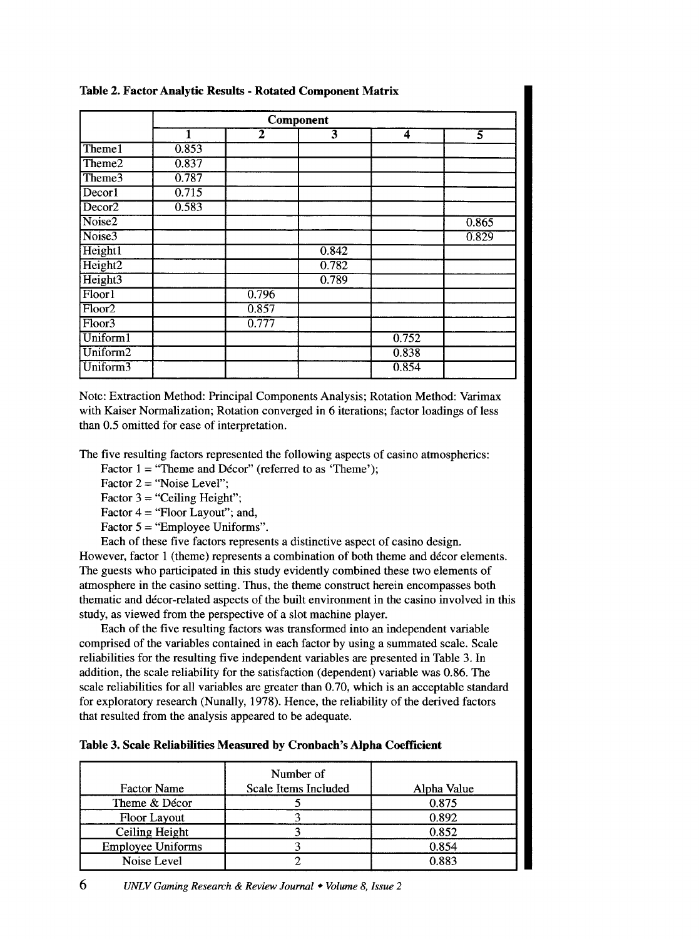|                     | Component               |                |                         |       |       |
|---------------------|-------------------------|----------------|-------------------------|-------|-------|
|                     | $\overline{\mathbf{1}}$ | $\overline{2}$ | $\overline{\mathbf{3}}$ | 4     | 5     |
| Theme1              | 0.853                   |                |                         |       |       |
| Theme2              | 0.837                   |                |                         |       |       |
| Theme3              | 0.787                   |                |                         |       |       |
| Decor1              | 0.715                   |                |                         |       |       |
| Decor <sub>2</sub>  | 0.583                   |                |                         |       |       |
| Noise2              |                         |                |                         |       | 0.865 |
| Noise3              |                         |                |                         |       | 0.829 |
| Height1             |                         |                | 0.842                   |       |       |
| Height <sub>2</sub> |                         |                | 0.782                   |       |       |
| Height <sup>3</sup> |                         |                | 0.789                   |       |       |
| Floor1              |                         | 0.796          |                         |       |       |
| Floor <sub>2</sub>  |                         | 0.857          |                         |       |       |
| Floor <sub>3</sub>  |                         | 0.777          |                         |       |       |
| Uniform1            |                         |                |                         | 0.752 |       |
| Uniform2            |                         |                |                         | 0.838 |       |
| Uniform3            |                         |                |                         | 0.854 |       |

#### **Table 2. Factor Analytic Results - Rotated Component Matrix**

Note: Extraction Method: Principal Components Analysis; Rotation Method: Varimax with Kaiser Normalization; Rotation converged in 6 iterations; factor loadings of less than 0.5 omitted for ease of interpretation.

The five resulting factors represented the following aspects of casino atmospherics:

Factor  $1 = "Thene and Décor" (referred to as 'Thene');$ 

Factor  $2 =$  "Noise Level";

Factor  $3 =$  "Ceiling Height";

Factor  $4 =$  "Floor Layout"; and,

Factor  $5 =$  "Employee Uniforms".

Each of these five factors represents a distinctive aspect of casino design.

However, factor 1 (theme) represents a combination of both theme and decor elements. The guests who participated in this study evidently combined these two elements of atmosphere in the casino setting. Thus, the theme construct herein encompasses both thematic and decor-related aspects of the built environment in the casino involved in this study, as viewed from the perspective of a slot machine player.

Each of the five resulting factors was transformed into an independent variable comprised of the variables contained in each factor by using a summated scale. Scale reliabilities for the resulting five independent variables are presented in Table 3. In addition, the scale reliability for the satisfaction (dependent) variable was 0.86. The scale reliabilities for all variables are greater than 0.70, which is an acceptable standard for exploratory research (Nunally, 1978). Hence, the reliability of the derived factors that resulted from the analysis appeared to be adequate.

| Table 3. Scale Reliabilities Measured by Cronbach's Alpha Coefficient |  |  |
|-----------------------------------------------------------------------|--|--|
|-----------------------------------------------------------------------|--|--|

| <b>Factor Name</b>       | Number of<br>Scale Items Included | Alpha Value |
|--------------------------|-----------------------------------|-------------|
| Theme & Décor            |                                   | 0.875       |
| Floor Layout             |                                   | 0.892       |
| Ceiling Height           |                                   | 0.852       |
| <b>Employee Uniforms</b> |                                   | 0.854       |
| Noise Level              |                                   | 0.883       |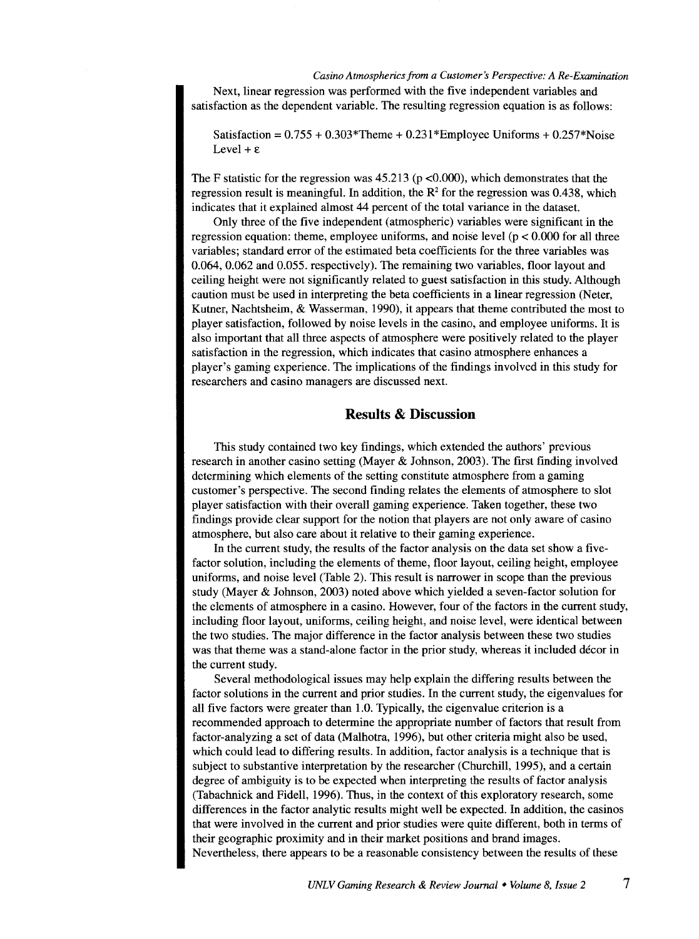*Casino Atmospherics from a Customer's Perspective: A Re-Examination*  Next, linear regression was performed with the five independent variables and satisfaction as the dependent variable. The resulting regression equation is as follows:

Satisfaction =  $0.755 + 0.303*$ Theme +  $0.231*$ Employee Uniforms +  $0.257*$ Noise Level +  $\varepsilon$ 

The F statistic for the regression was  $45.213$  (p <0.000), which demonstrates that the regression result is meaningful. In addition, the  $\mathbb{R}^2$  for the regression was 0.438, which indicates that it explained almost 44 percent of the total variance in the dataset.

Only three of the five independent (atmospheric) variables were significant in the regression equation: theme, employee uniforms, and noise level  $(p < 0.000$  for all three variables; standard error of the estimated beta coefficients for the three variables was 0.064, 0.062 and 0.055. respectively). The remaining two variables, floor layout and ceiling height were not significantly related to guest satisfaction in this study. Although caution must be used in interpreting the beta coefficients in a linear regression (Neter, Kutner, Nachtsheim, & Wasserman, 1990), it appears that theme contributed the most to player satisfaction, followed by noise levels in the casino, and employee uniforms. It is also important that all three aspects of atmosphere were positively related to the player satisfaction in the regression, which indicates that casino atmosphere enhances a player's gaming experience. The implications of the findings involved in this study for researchers and casino managers are discussed next.

# **Results & Discussion**

This study contained two key findings, which extended the authors' previous research in another casino setting (Mayer & Johnson, 2003). The first finding involved determining which elements of the setting constitute atmosphere from a gaming customer's perspective. The second finding relates the elements of atmosphere to slot player satisfaction with their overall gaming experience. Taken together, these two findings provide clear support for the notion that players are not only aware of casino atmosphere, but also care about it relative to their gaming experience.

In the current study, the results of the factor analysis on the data set show a fivefactor solution, including the elements of theme, floor layout, ceiling height, employee uniforms, and noise level (Table 2). This result is narrower in scope than the previous study (Mayer & Johnson, 2003) noted above which yielded a seven-factor solution for the elements of atmosphere in a casino. However, four of the factors in the current study, including floor layout, uniforms, ceiling height, and noise level, were identical between the two studies. The major difference in the factor analysis between these two studies was that theme was a stand-alone factor in the prior study, whereas it included decor in the current study.

Several methodological issues may help explain the differing results between the factor solutions in the current and prior studies. In the current study, the eigenvalues for all five factors were greater than 1.0. Typically, the eigenvalue criterion is a recommended approach to determine the appropriate number of factors that result from factor-analyzing a set of data (Malhotra, 1996), but other criteria might also be used, which could lead to differing results. In addition, factor analysis is a technique that is subject to substantive interpretation by the researcher (Churchill, 1995), and a certain degree of ambiguity is to be expected when interpreting the results of factor analysis (Tabachnick and Fidell, 1996). Thus, in the context of this exploratory research, some differences in the factor analytic results might well be expected. In addition, the casinos that were involved in the current and prior studies were quite different, both in terms of their geographic proximity and in their market positions and brand images. Nevertheless, there appears to be a reasonable consistency between the results of these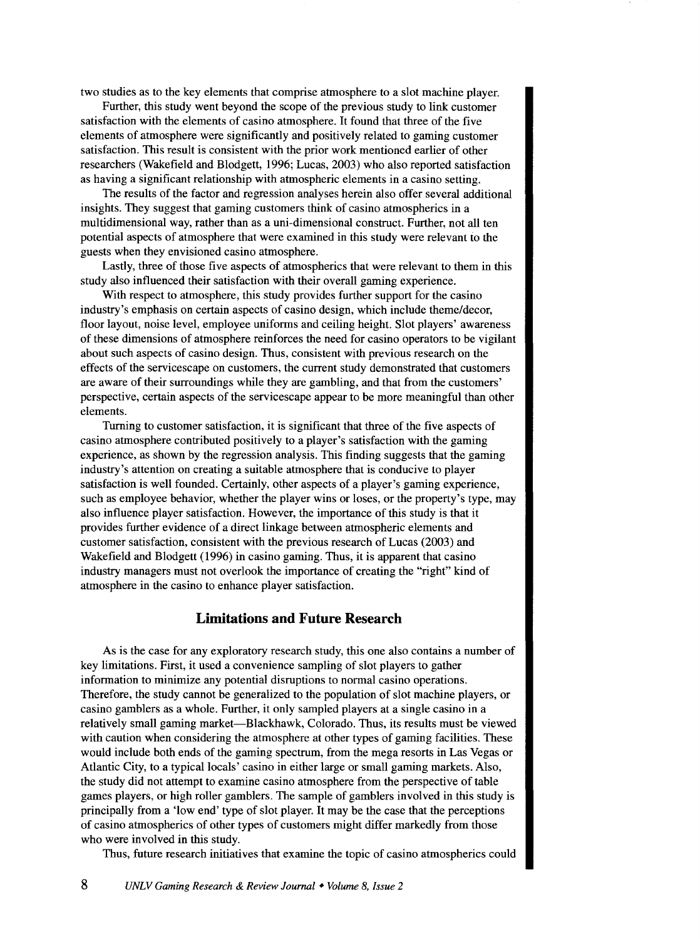two studies as to the key elements that comprise atmosphere to a slot machine player.

Further, this study went beyond the scope of the previous study to link customer satisfaction with the elements of casino atmosphere. It found that three of the five elements of atmosphere were significantly and positively related to gaming customer satisfaction. This result is consistent with the prior work mentioned earlier of other researchers (Wakefield and Blodgett, 1996; Lucas, 2003) who also reported satisfaction as having a significant relationship with atmospheric elements in a casino setting.

The results of the factor and regression analyses herein also offer several additional insights. They suggest that gaming customers think of casino atmospherics in a multidimensional way, rather than as a uni-dimensional construct. Further, not all ten potential aspects of atmosphere that were examined in this study were relevant to the guests when they envisioned casino atmosphere.

Lastly, three of those five aspects of atmospherics that were relevant to them in this study also influenced their satisfaction with their overall gaming experience.

With respect to atmosphere, this study provides further support for the casino industry's emphasis on certain aspects of casino design, which include theme/decor, floor layout, noise level, employee uniforms and ceiling height. Slot players' awareness of these dimensions of atmosphere reinforces the need for casino operators to be vigilant about such aspects of casino design. Thus, consistent with previous research on the effects of the servicescape on customers, the current study demonstrated that customers are aware of their surroundings while they are gambling, and that from the customers' perspective, certain aspects of the servicescape appear to be more meaningful than other elements.

Turning to customer satisfaction, it is significant that three of the five aspects of casino atmosphere contributed positively to a player's satisfaction with the gaming experience, as shown by the regression analysis. This finding suggests that the gaming industry's attention on creating a suitable atmosphere that is conducive to player satisfaction is well founded. Certainly, other aspects of a player's gaming experience, such as employee behavior, whether the player wins or loses, or the property's type, may also influence player satisfaction. However, the importance of this study is that it provides further evidence of a direct linkage between atmospheric elements and customer satisfaction, consistent with the previous research of Lucas (2003) and Wakefield and Blodgett (1996) in casino gaming. Thus, it is apparent that casino industry managers must not overlook the importance of creating the "right" kind of atmosphere in the casino to enhance player satisfaction.

#### **Limitations and Future Research**

As is the case for any exploratory research study, this one also contains a number of key limitations. First, it used a convenience sampling of slot players to gather information to minimize any potential disruptions to normal casino operations. Therefore, the study cannot be generalized to the population of slot machine players, or casino gamblers as a whole. Further, it only sampled players at a single casino in a relatively small gaming market-Blackhawk, Colorado. Thus, its results must be viewed with caution when considering the atmosphere at other types of gaming facilities. These would include both ends of the gaming spectrum, from the mega resorts in Las Vegas or Atlantic City, to a typical locals' casino in either large or small gaming markets. Also, the study did not attempt to examine casino atmosphere from the perspective of table games players, or high roller gamblers. The sample of gamblers involved in this study is principally from a 'low end' type of slot player. It may be the case that the perceptions of casino atmospherics of other types of customers might differ markedly from those who were involved in this study.

Thus, future research initiatives that examine the topic of casino atmospherics could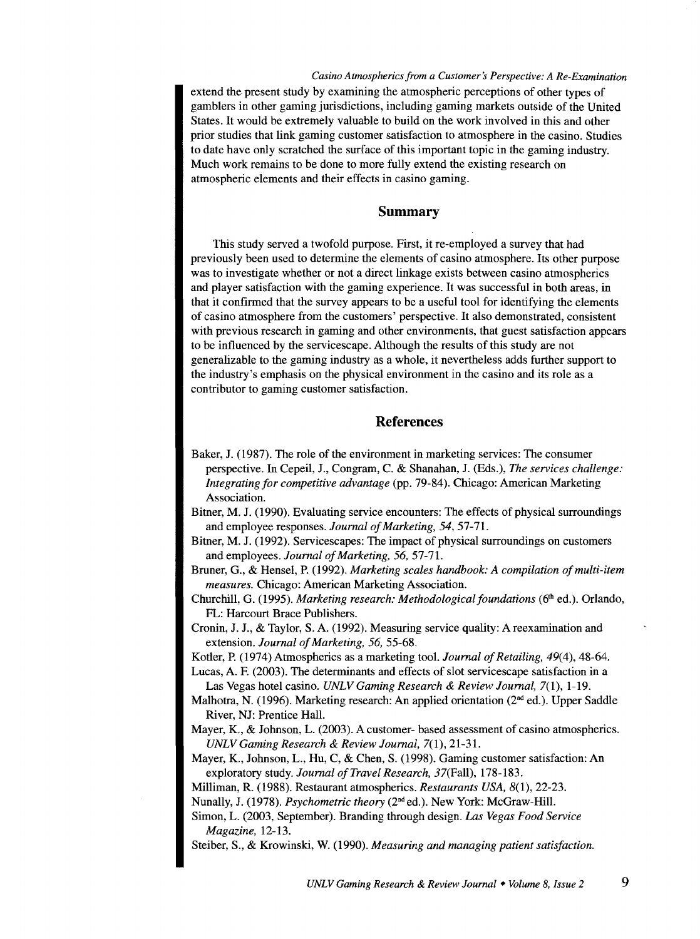*Casino Atmospherics from a Customer's Perspective: A Re-Examination* extend the present study by examining the atmospheric perceptions of other types of gamblers in other gaming jurisdictions, including gaming markets outside of the United States. It would be extremely valuable to build on the work involved in this and other prior studies that link gaming customer satisfaction to atmosphere in the casino. Studies to date have only scratched the surface of this important topic in the gaming industry. Much work remains to be done to more fully extend the existing research on atmospheric elements and their effects in casino gaming.

#### **Summary**

This study served a twofold purpose. First, it re-employed a survey that had previously been used to determine the elements of casino atmosphere. Its other purpose was to investigate whether or not a direct linkage exists between casino atmospherics and player satisfaction with the gaming experience. It was successful in both areas, in that it confirmed that the survey appears to be a useful tool for identifying the elements of casino atmosphere from the customers' perspective. It also demonstrated, consistent with previous research in gaming and other environments, that guest satisfaction appears to be influenced by the servicescape. Although the results of this study are not generalizable to the gaming industry as a whole, it nevertheless adds further support to the industry's emphasis on the physical environment in the casino and its role as a contributor to gaming customer satisfaction.

### **References**

- Baker, J. (1987). The role of the environment in marketing services: The consumer perspective. In Cepeil, J., Congram, C. & Shanahan, J. (Eds.), *The services challenge: Integrating for competitive advantage* (pp. 79-84 ). Chicago: American Marketing Association.
- Bitner, M. J. (1990). Evaluating service encounters: The effects of physical surroundings and employee responses. *Journal of Marketing, 54,* 57-71.
- Bitner, M. J. (1992). Servicescapes: The impact of physical surroundings on customers and employees. *Journal of Marketing, 56,* 57-71.
- Bruner, G., & Hensel, P. (1992). *Marketing scales handbook: A compilation of multi-item measures.* Chicago: American Marketing Association.
- Churchill, G. (1995). *Marketing research: Methodological foundations* (6<sup>th</sup> ed.). Orlando, FL: Harcourt Brace Publishers.
- Cronin, J. J., & Taylor, S. A. (1992). Measuring service quality: A reexamination and extension. *Journal of Marketing, 56,* 55-68.
- Kotler, P. (1974) Atmospherics as a marketing tool. *Journal of Retailing,* 49(4), 48-64.

Lucas, A. F. (2003). The determinants and effects of slot servicescape satisfaction in a Las Vegas hotel casino. *UNLV Gaming Research* & *Review Journal,* 7(1), 1-19.

- Malhotra, N. (1996). Marketing research: An applied orientation  $(2<sup>nd</sup>$  ed.). Upper Saddle River, NJ: Prentice Hall.
- Mayer, K., & Johnson, L. (2003). A customer- based assessment of casino atmospherics. *UNLV Gaming Research* & *Review Journal,* 7(1), 21-31.
- Mayer, K., Johnson, L., Hu, C, & Chen, S. (1998). Gaming customer satisfaction: An exploratory study. *Journal of Travel Research,* 37(Fall), 178-183.
- Milliman, R. (1988). Restaurant atmospherics. *Restaurants USA,* 8(1), 22-23.

Nunally, J. (1978). *Psychometric theory* (2<sup>nd</sup> ed.). New York: McGraw-Hill.

Simon, L. (2003, September). Branding through design. *Las Vegas Food Service Magazine,* 12-13.

Steiber, S., & Krowinski, W. (1990). *Measuring and managing patient satisfaction.*